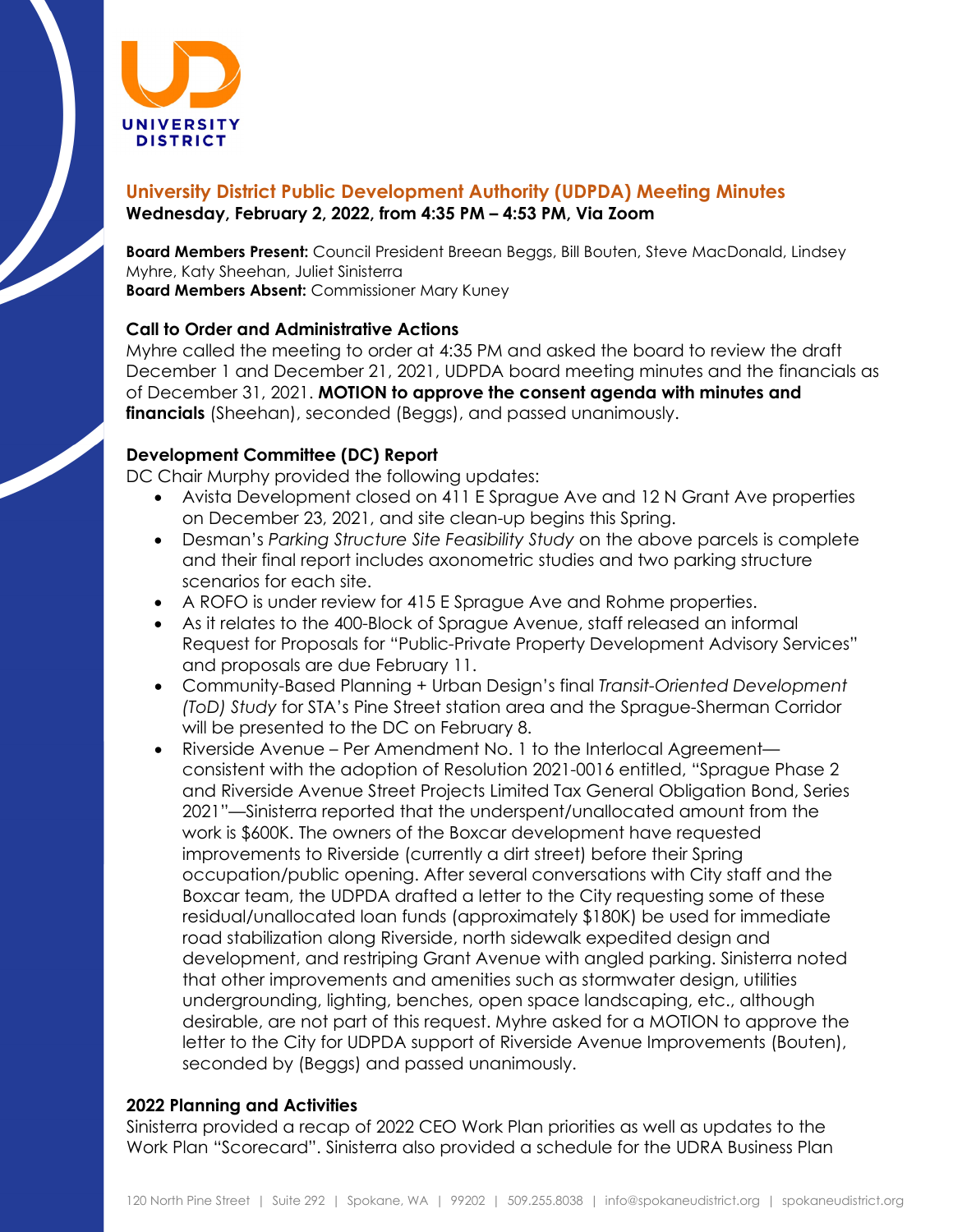

## **University District Public Development Authority (UDPDA) Meeting Minutes Wednesday, February 2, 2022, from 4:35 PM – 4:53 PM, Via Zoom**

**Board Members Present:** Council President Breean Beggs, Bill Bouten, Steve MacDonald, Lindsey Myhre, Katy Sheehan, Juliet Sinisterra **Board Members Absent:** Commissioner Mary Kuney

#### **Call to Order and Administrative Actions**

Myhre called the meeting to order at 4:35 PM and asked the board to review the draft December 1 and December 21, 2021, UDPDA board meeting minutes and the financials as of December 31, 2021. **MOTION to approve the consent agenda with minutes and financials** (Sheehan), seconded (Beggs), and passed unanimously.

### **Development Committee (DC) Report**

DC Chair Murphy provided the following updates:

- Avista Development closed on 411 E Sprague Ave and 12 N Grant Ave properties on December 23, 2021, and site clean-up begins this Spring.
- Desman's *Parking Structure Site Feasibility Study* on the above parcels is complete and their final report includes axonometric studies and two parking structure scenarios for each site.
- A ROFO is under review for 415 E Sprague Ave and Rohme properties.
- As it relates to the 400-Block of Sprague Avenue, staff released an informal Request for Proposals for "Public-Private Property Development Advisory Services" and proposals are due February 11.
- Community-Based Planning + Urban Design's final *Transit-Oriented Development (ToD) Study* for STA's Pine Street station area and the Sprague-Sherman Corridor will be presented to the DC on February 8.
- Riverside Avenue Per Amendment No. 1 to the Interlocal Agreement consistent with the adoption of Resolution 2021-0016 entitled, "Sprague Phase 2 and Riverside Avenue Street Projects Limited Tax General Obligation Bond, Series 2021"—Sinisterra reported that the underspent/unallocated amount from the work is \$600K. The owners of the Boxcar development have requested improvements to Riverside (currently a dirt street) before their Spring occupation/public opening. After several conversations with City staff and the Boxcar team, the UDPDA drafted a letter to the City requesting some of these residual/unallocated loan funds (approximately \$180K) be used for immediate road stabilization along Riverside, north sidewalk expedited design and development, and restriping Grant Avenue with angled parking. Sinisterra noted that other improvements and amenities such as stormwater design, utilities undergrounding, lighting, benches, open space landscaping, etc., although desirable, are not part of this request. Myhre asked for a MOTION to approve the letter to the City for UDPDA support of Riverside Avenue Improvements (Bouten), seconded by (Beggs) and passed unanimously.

#### **2022 Planning and Activities**

Sinisterra provided a recap of 2022 CEO Work Plan priorities as well as updates to the Work Plan "Scorecard". Sinisterra also provided a schedule for the UDRA Business Plan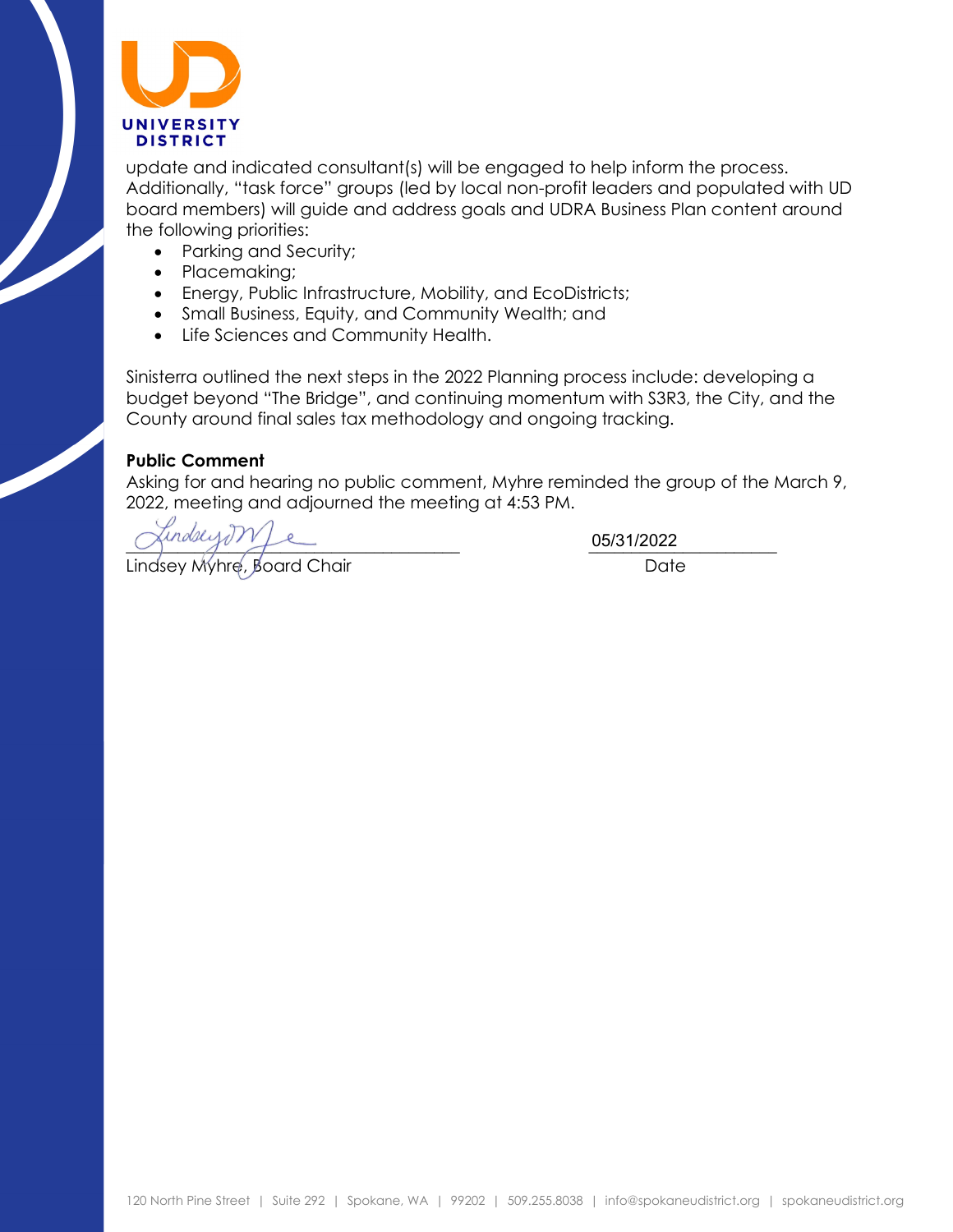

update and indicated consultant(s) will be engaged to help inform the process. Additionally, "task force" groups (led by local non-profit leaders and populated with UD board members) will guide and address goals and UDRA Business Plan content around the following priorities:

- Parking and Security;
- Placemaking;
- Energy, Public Infrastructure, Mobility, and EcoDistricts;
- Small Business, Equity, and Community Wealth; and
- Life Sciences and Community Health.

Sinisterra outlined the next steps in the 2022 Planning process include: developing a budget beyond "The Bridge", and continuing momentum with S3R3, the City, and the County around final sales tax methodology and ongoing tracking.

#### **Public Comment**

Asking for and hearing no public comment, Myhre reminded the group of the March 9, 2022, meeting and adjourned the meeting at 4:53 PM.

Lindsey Myhre, Board Chair **Date** Date

 $\frac{0513712022}{2}$ 05/31/2022